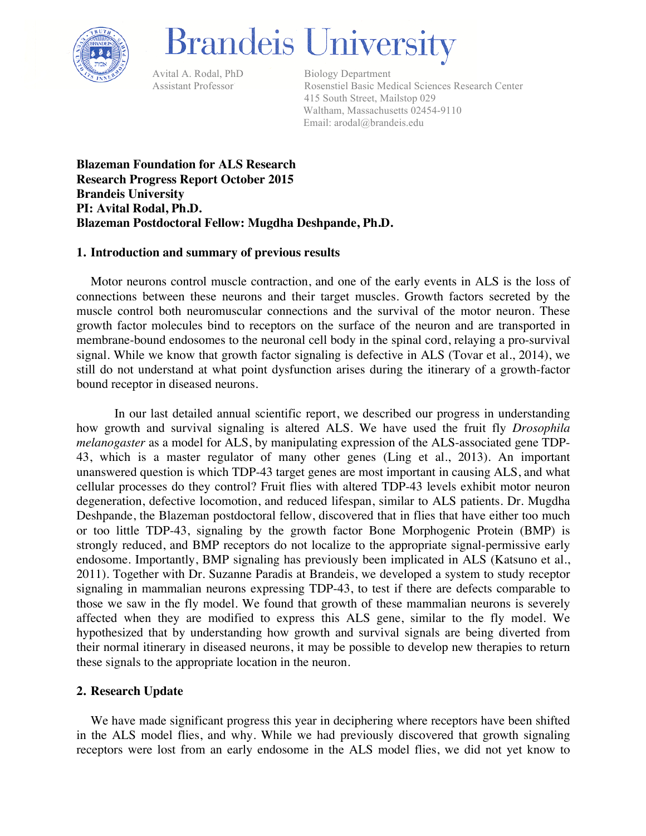

# **Brandeis University**

Avital A. Rodal, PhD Biology Department

 Assistant Professor Rosenstiel Basic Medical Sciences Research Center 415 South Street, Mailstop 029 Waltham, Massachusetts 02454-9110 Email: arodal@brandeis.edu

**Blazeman Foundation for ALS Research Research Progress Report October 2015 Brandeis University PI: Avital Rodal, Ph.D. Blazeman Postdoctoral Fellow: Mugdha Deshpande, Ph.D.**

## **1. Introduction and summary of previous results**

Motor neurons control muscle contraction, and one of the early events in ALS is the loss of connections between these neurons and their target muscles. Growth factors secreted by the muscle control both neuromuscular connections and the survival of the motor neuron. These growth factor molecules bind to receptors on the surface of the neuron and are transported in membrane-bound endosomes to the neuronal cell body in the spinal cord, relaying a pro-survival signal. While we know that growth factor signaling is defective in ALS (Tovar et al., 2014), we still do not understand at what point dysfunction arises during the itinerary of a growth-factor bound receptor in diseased neurons.

In our last detailed annual scientific report, we described our progress in understanding how growth and survival signaling is altered ALS. We have used the fruit fly *Drosophila melanogaster* as a model for ALS, by manipulating expression of the ALS-associated gene TDP-43, which is a master regulator of many other genes (Ling et al., 2013). An important unanswered question is which TDP-43 target genes are most important in causing ALS, and what cellular processes do they control? Fruit flies with altered TDP-43 levels exhibit motor neuron degeneration, defective locomotion, and reduced lifespan, similar to ALS patients. Dr. Mugdha Deshpande, the Blazeman postdoctoral fellow, discovered that in flies that have either too much or too little TDP-43, signaling by the growth factor Bone Morphogenic Protein (BMP) is strongly reduced, and BMP receptors do not localize to the appropriate signal-permissive early endosome. Importantly, BMP signaling has previously been implicated in ALS (Katsuno et al., 2011). Together with Dr. Suzanne Paradis at Brandeis, we developed a system to study receptor signaling in mammalian neurons expressing TDP-43, to test if there are defects comparable to those we saw in the fly model. We found that growth of these mammalian neurons is severely affected when they are modified to express this ALS gene, similar to the fly model. We hypothesized that by understanding how growth and survival signals are being diverted from their normal itinerary in diseased neurons, it may be possible to develop new therapies to return these signals to the appropriate location in the neuron.

# **2. Research Update**

We have made significant progress this year in deciphering where receptors have been shifted in the ALS model flies, and why. While we had previously discovered that growth signaling receptors were lost from an early endosome in the ALS model flies, we did not yet know to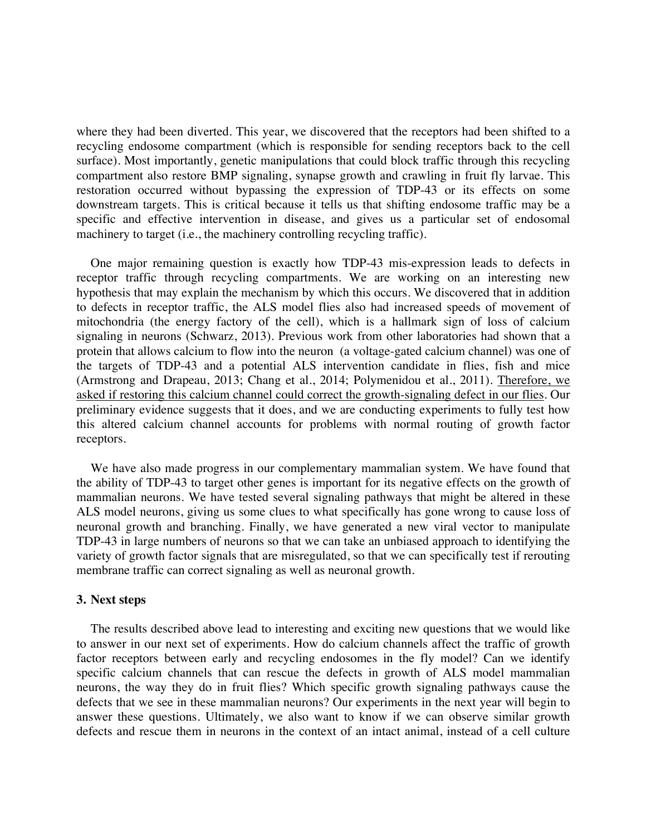where they had been diverted. This year, we discovered that the receptors had been shifted to a recycling endosome compartment (which is responsible for sending receptors back to the cell surface). Most importantly, genetic manipulations that could block traffic through this recycling compartment also restore BMP signaling, synapse growth and crawling in fruit fly larvae. This restoration occurred without bypassing the expression of TDP-43 or its effects on some downstream targets. This is critical because it tells us that shifting endosome traffic may be a specific and effective intervention in disease, and gives us a particular set of endosomal machinery to target (i.e., the machinery controlling recycling traffic).

One major remaining question is exactly how TDP-43 mis-expression leads to defects in receptor traffic through recycling compartments. We are working on an interesting new hypothesis that may explain the mechanism by which this occurs. We discovered that in addition to defects in receptor traffic, the ALS model flies also had increased speeds of movement of mitochondria (the energy factory of the cell), which is a hallmark sign of loss of calcium signaling in neurons (Schwarz, 2013). Previous work from other laboratories had shown that a protein that allows calcium to flow into the neuron (a voltage-gated calcium channel) was one of the targets of TDP-43 and a potential ALS intervention candidate in flies, fish and mice (Armstrong and Drapeau, 2013; Chang et al., 2014; Polymenidou et al., 2011). Therefore, we asked if restoring this calcium channel could correct the growth-signaling defect in our flies. Our preliminary evidence suggests that it does, and we are conducting experiments to fully test how this altered calcium channel accounts for problems with normal routing of growth factor receptors.

We have also made progress in our complementary mammalian system. We have found that the ability of TDP-43 to target other genes is important for its negative effects on the growth of mammalian neurons. We have tested several signaling pathways that might be altered in these ALS model neurons, giving us some clues to what specifically has gone wrong to cause loss of neuronal growth and branching. Finally, we have generated a new viral vector to manipulate TDP-43 in large numbers of neurons so that we can take an unbiased approach to identifying the variety of growth factor signals that are misregulated, so that we can specifically test if rerouting membrane traffic can correct signaling as well as neuronal growth.

#### **3. Next steps**

The results described above lead to interesting and exciting new questions that we would like to answer in our next set of experiments. How do calcium channels affect the traffic of growth factor receptors between early and recycling endosomes in the fly model? Can we identify specific calcium channels that can rescue the defects in growth of ALS model mammalian neurons, the way they do in fruit flies? Which specific growth signaling pathways cause the defects that we see in these mammalian neurons? Our experiments in the next year will begin to answer these questions. Ultimately, we also want to know if we can observe similar growth defects and rescue them in neurons in the context of an intact animal, instead of a cell culture